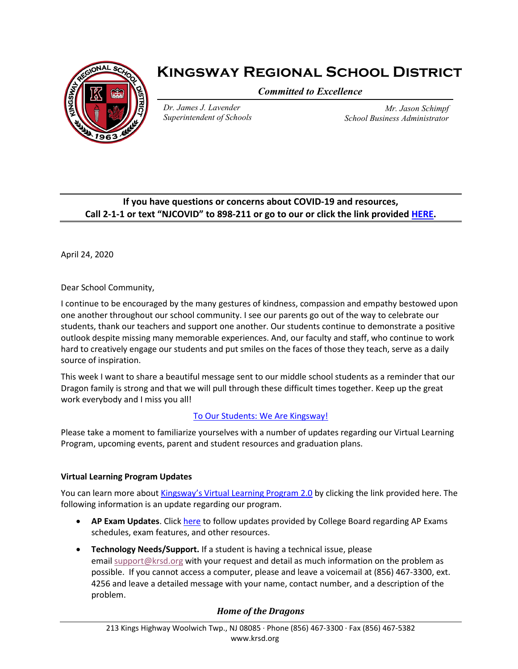

# **Kingsway Regional School District**

*Committed to Excellence*

*Dr. James J. Lavender Superintendent of Schools*

*Mr. Jason Schimpf School Business Administrator*

# **If you have questions or concerns about COVID-19 and resources, Call 2-1-1 or text "NJCOVID" to 898-211 or go to our or click the link provided [HERE.](https://www.nj.gov/dcf/news/Hotlines&Helplines-COVID.pdf)**

April 24, 2020

Dear School Community,

I continue to be encouraged by the many gestures of kindness, compassion and empathy bestowed upon one another throughout our school community. I see our parents go out of the way to celebrate our students, thank our teachers and support one another. Our students continue to demonstrate a positive outlook despite missing many memorable experiences. And, our faculty and staff, who continue to work hard to creatively engage our students and put smiles on the faces of those they teach, serve as a daily source of inspiration.

This week I want to share a beautiful message sent to our middle school students as a reminder that our Dragon family is strong and that we will pull through these difficult times together. Keep up the great work everybody and I miss you all!

# [To Our Students: We Are Kingsway!](https://www.youtube.com/watch?v=HJVZKv7sJyM)

Please take a moment to familiarize yourselves with a number of updates regarding our Virtual Learning Program, upcoming events, parent and student resources and graduation plans.

# **Virtual Learning Program Updates**

You can learn more about [Kingsway's Virtual Learning Program 2.0](https://www.krsd.org/Page/1699) by clicking the link provided here. The following information is an update regarding our program.

- **AP Exam Updates**. Click [here](https://apcoronavirusupdates.collegeboard.org/educators) to follow updates provided by College Board regarding AP Exams schedules, exam features, and other resources.
- **Technology Needs/Support.** If a student is having a technical issue, please email [support@krsd.org](mailto:support@krsd.org) with your request and detail as much information on the problem as possible. If you cannot access a computer, please and leave a voicemail at (856) 467-3300, ext. 4256 and leave a detailed message with your name, contact number, and a description of the problem.

# *Home of the Dragons*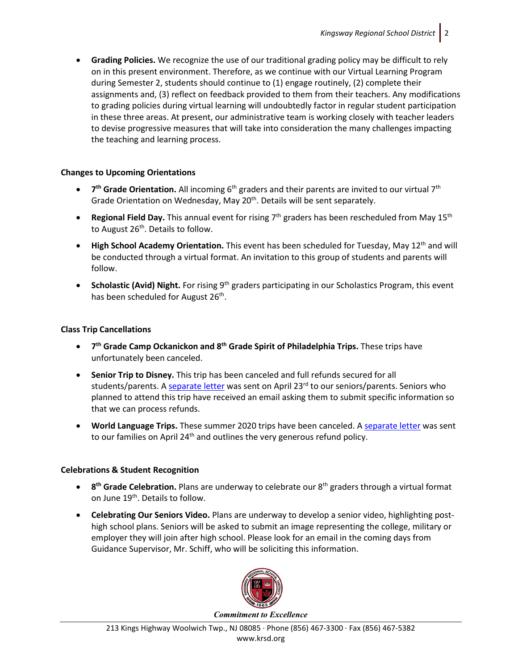• **Grading Policies.** We recognize the use of our traditional grading policy may be difficult to rely on in this present environment. Therefore, as we continue with our Virtual Learning Program during Semester 2, students should continue to (1) engage routinely, (2) complete their assignments and, (3) reflect on feedback provided to them from their teachers. Any modifications to grading policies during virtual learning will undoubtedly factor in regular student participation in these three areas. At present, our administrative team is working closely with teacher leaders to devise progressive measures that will take into consideration the many challenges impacting the teaching and learning process.

## **Changes to Upcoming Orientations**

- **7<sup>th</sup> Grade Orientation.** All incoming 6<sup>th</sup> graders and their parents are invited to our virtual 7<sup>th</sup> Grade Orientation on Wednesday, May 20<sup>th</sup>. Details will be sent separately.
- **Regional Field Day.** This annual event for rising 7<sup>th</sup> graders has been rescheduled from May 15<sup>th</sup> to August 26<sup>th</sup>. Details to follow.
- **High School Academy Orientation.** This event has been scheduled for Tuesday, May 12<sup>th</sup> and will be conducted through a virtual format. An invitation to this group of students and parents will follow.
- **Scholastic (Avid) Night.** For rising 9<sup>th</sup> graders participating in our Scholastics Program, this event has been scheduled for August 26<sup>th</sup>.

#### **Class Trip Cancellations**

- **7th Grade Camp Ockanickon and 8th Grade Spirit of Philadelphia Trips.** These trips have unfortunately been canceled.
- **Senior Trip to Disney.** This trip has been canceled and full refunds secured for all students/parents. A [separate letter](https://www.krsd.org/cms/lib/NJ01912751/Centricity/Domain/121/Superintendents%20Senior%20Trip%20Canceled%204.23.2020%20UPDATED.pdf) was sent on April 23<sup>rd</sup> to our seniors/parents. Seniors who planned to attend this trip have received an email asking them to submit specific information so that we can process refunds.
- **World Language Trips.** These summer 2020 trips have been canceled. A [separate letter](https://www.krsd.org/cms/lib/NJ01912751/Centricity/Domain/121/Superintendents%20France%20and%20Costa%20Rica%20Trips%20Canceled%204.23.2020%20UPDATED.pdf) was sent to our families on April 24<sup>th</sup> and outlines the very generous refund policy.

## **Celebrations & Student Recognition**

- **8th Grade Celebration.** Plans are underway to celebrate our 8th graders through a virtual format on June 19<sup>th</sup>. Details to follow.
- **Celebrating Our Seniors Video.** Plans are underway to develop a senior video, highlighting posthigh school plans. Seniors will be asked to submit an image representing the college, military or employer they will join after high school. Please look for an email in the coming days from Guidance Supervisor, Mr. Schiff, who will be soliciting this information.



*Commitment to Excellence*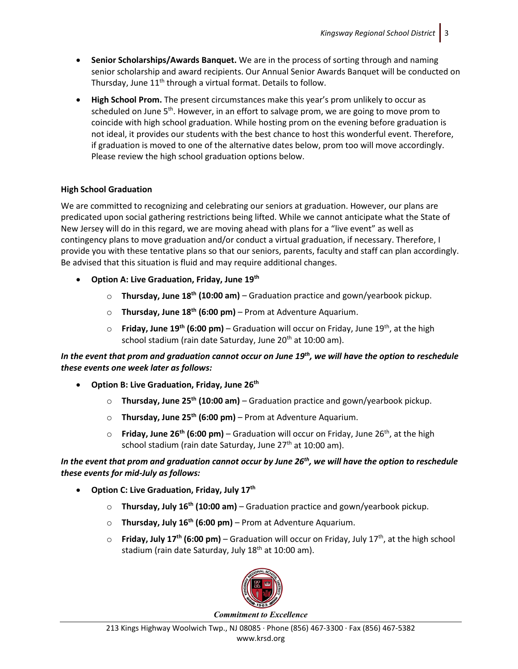- **Senior Scholarships/Awards Banquet.** We are in the process of sorting through and naming senior scholarship and award recipients. Our Annual Senior Awards Banquet will be conducted on Thursday, June 11<sup>th</sup> through a virtual format. Details to follow.
- **High School Prom.** The present circumstances make this year's prom unlikely to occur as scheduled on June  $5<sup>th</sup>$ . However, in an effort to salvage prom, we are going to move prom to coincide with high school graduation. While hosting prom on the evening before graduation is not ideal, it provides our students with the best chance to host this wonderful event. Therefore, if graduation is moved to one of the alternative dates below, prom too will move accordingly. Please review the high school graduation options below.

## **High School Graduation**

We are committed to recognizing and celebrating our seniors at graduation. However, our plans are predicated upon social gathering restrictions being lifted. While we cannot anticipate what the State of New Jersey will do in this regard, we are moving ahead with plans for a "live event" as well as contingency plans to move graduation and/or conduct a virtual graduation, if necessary. Therefore, I provide you with these tentative plans so that our seniors, parents, faculty and staff can plan accordingly. Be advised that this situation is fluid and may require additional changes.

- **Option A: Live Graduation, Friday, June 19th**
	- o **Thursday, June 18th (10:00 am)** Graduation practice and gown/yearbook pickup.
	- o **Thursday, June 18th (6:00 pm)** Prom at Adventure Aquarium.
	- o **Friday, June 19th (6:00 pm)** Graduation will occur on Friday, June 19th, at the high school stadium (rain date Saturday, June 20<sup>th</sup> at 10:00 am).

## *In the event that prom and graduation cannot occur on June 19th, we will have the option to reschedule these events one week later as follows:*

- **Option B: Live Graduation, Friday, June 26th**
	- o **Thursday, June 25th (10:00 am)** Graduation practice and gown/yearbook pickup.
	- o **Thursday, June 25th (6:00 pm)** Prom at Adventure Aquarium.
	- o **Friday, June 26th (6:00 pm)**  Graduation will occur on Friday, June 26th, at the high school stadium (rain date Saturday, June 27<sup>th</sup> at 10:00 am).

# *In the event that prom and graduation cannot occur by June 26th, we will have the option to reschedule these events for mid-July as follows:*

- **Option C: Live Graduation, Friday, July 17th**
	- o **Thursday, July 16th (10:00 am)**  Graduation practice and gown/yearbook pickup.
	- o **Thursday, July 16th (6:00 pm)** Prom at Adventure Aquarium.
	- $\circ$  **Friday, July 17<sup>th</sup> (6:00 pm)** Graduation will occur on Friday, July 17<sup>th</sup>, at the high school stadium (rain date Saturday, July 18<sup>th</sup> at 10:00 am).